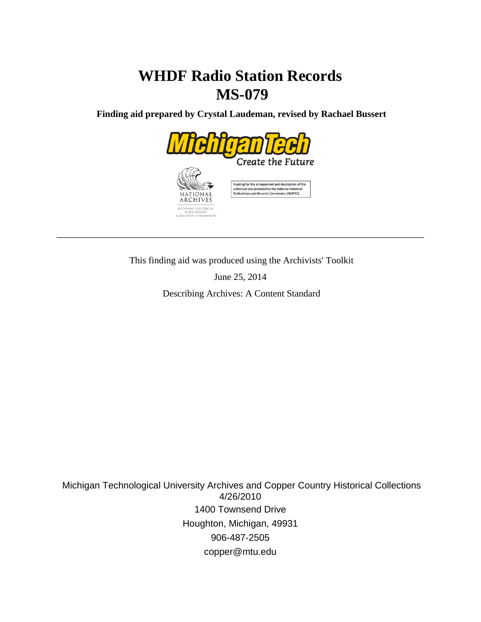# **WHDF Radio Station Records MS-079**

 **Finding aid prepared by Crystal Laudeman, revised by Rachael Bussert**



This finding aid was produced using the Archivists' Toolkit

June 25, 2014

Describing Archives: A Content Standard

 Michigan Technological University Archives and Copper Country Historical Collections 4/26/2010 1400 Townsend Drive Houghton, Michigan, 49931 906-487-2505 copper@mtu.edu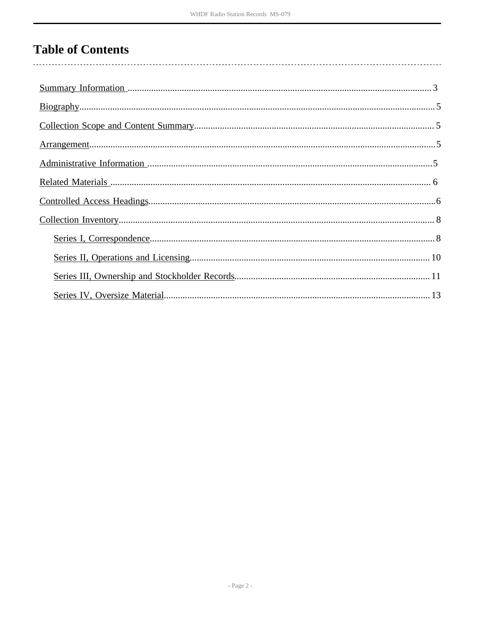## **Table of Contents**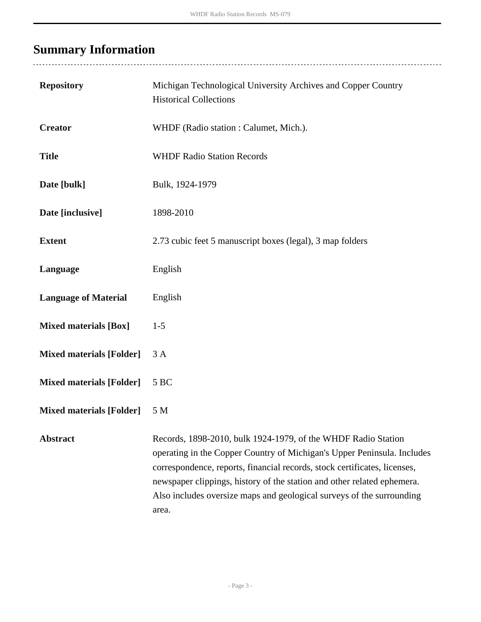# <span id="page-2-0"></span>**Summary Information**

| <b>Repository</b>               | Michigan Technological University Archives and Copper Country<br><b>Historical Collections</b>                                                                                                                                                                                                                                                                                     |
|---------------------------------|------------------------------------------------------------------------------------------------------------------------------------------------------------------------------------------------------------------------------------------------------------------------------------------------------------------------------------------------------------------------------------|
| <b>Creator</b>                  | WHDF (Radio station: Calumet, Mich.).                                                                                                                                                                                                                                                                                                                                              |
| <b>Title</b>                    | <b>WHDF Radio Station Records</b>                                                                                                                                                                                                                                                                                                                                                  |
| Date [bulk]                     | Bulk, 1924-1979                                                                                                                                                                                                                                                                                                                                                                    |
| Date [inclusive]                | 1898-2010                                                                                                                                                                                                                                                                                                                                                                          |
| <b>Extent</b>                   | 2.73 cubic feet 5 manuscript boxes (legal), 3 map folders                                                                                                                                                                                                                                                                                                                          |
| Language                        | English                                                                                                                                                                                                                                                                                                                                                                            |
| <b>Language of Material</b>     | English                                                                                                                                                                                                                                                                                                                                                                            |
| <b>Mixed materials [Box]</b>    | $1 - 5$                                                                                                                                                                                                                                                                                                                                                                            |
| <b>Mixed materials [Folder]</b> | 3A                                                                                                                                                                                                                                                                                                                                                                                 |
| <b>Mixed materials [Folder]</b> | 5 BC                                                                                                                                                                                                                                                                                                                                                                               |
| <b>Mixed materials [Folder]</b> | 5 M                                                                                                                                                                                                                                                                                                                                                                                |
| <b>Abstract</b>                 | Records, 1898-2010, bulk 1924-1979, of the WHDF Radio Station<br>operating in the Copper Country of Michigan's Upper Peninsula. Includes<br>correspondence, reports, financial records, stock certificates, licenses,<br>newspaper clippings, history of the station and other related ephemera.<br>Also includes oversize maps and geological surveys of the surrounding<br>area. |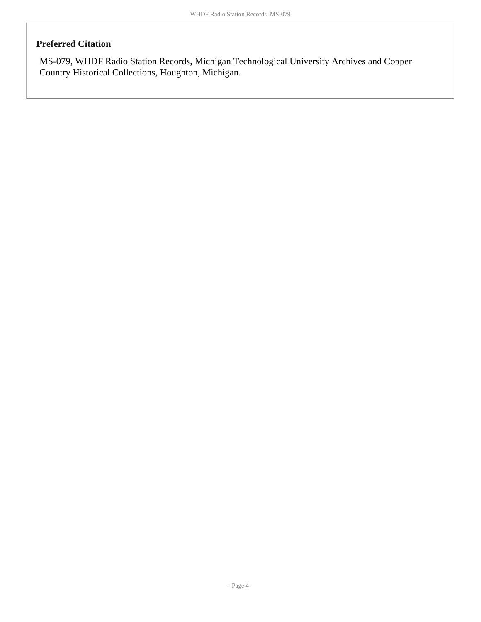### **Preferred Citation**

MS-079, WHDF Radio Station Records, Michigan Technological University Archives and Copper Country Historical Collections, Houghton, Michigan.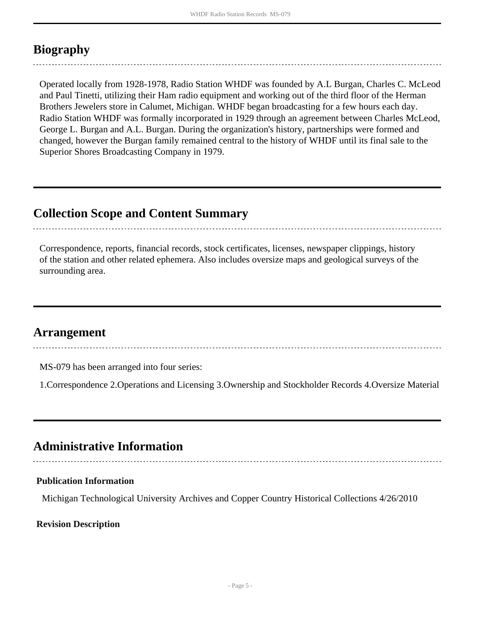## <span id="page-4-0"></span>**Biography**

Operated locally from 1928-1978, Radio Station WHDF was founded by A.L Burgan, Charles C. McLeod and Paul Tinetti, utilizing their Ham radio equipment and working out of the third floor of the Herman Brothers Jewelers store in Calumet, Michigan. WHDF began broadcasting for a few hours each day. Radio Station WHDF was formally incorporated in 1929 through an agreement between Charles McLeod, George L. Burgan and A.L. Burgan. During the organization's history, partnerships were formed and changed, however the Burgan family remained central to the history of WHDF until its final sale to the Superior Shores Broadcasting Company in 1979.

### <span id="page-4-1"></span>**Collection Scope and Content Summary**

Correspondence, reports, financial records, stock certificates, licenses, newspaper clippings, history of the station and other related ephemera. Also includes oversize maps and geological surveys of the surrounding area.

### <span id="page-4-2"></span>**Arrangement**

MS-079 has been arranged into four series:

1.Correspondence 2.Operations and Licensing 3.Ownership and Stockholder Records 4.Oversize Material

### <span id="page-4-3"></span>**Administrative Information**

### **Publication Information**

Michigan Technological University Archives and Copper Country Historical Collections 4/26/2010

### **Revision Description**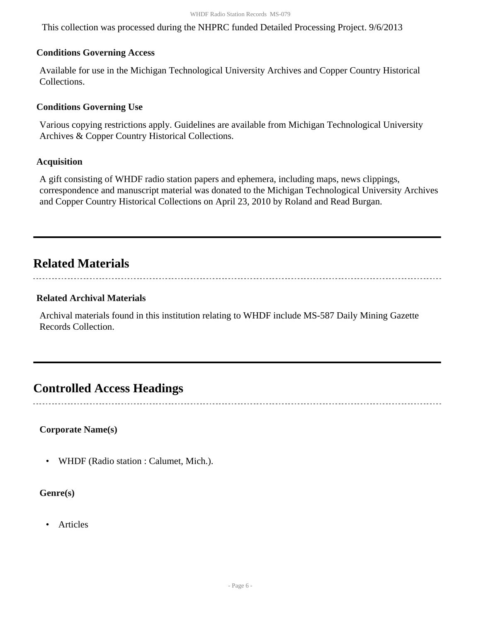This collection was processed during the NHPRC funded Detailed Processing Project. 9/6/2013

#### **Conditions Governing Access**

Available for use in the Michigan Technological University Archives and Copper Country Historical Collections.

### **Conditions Governing Use**

Various copying restrictions apply. Guidelines are available from Michigan Technological University Archives & Copper Country Historical Collections.

### **Acquisition**

A gift consisting of WHDF radio station papers and ephemera, including maps, news clippings, correspondence and manuscript material was donated to the Michigan Technological University Archives and Copper Country Historical Collections on April 23, 2010 by Roland and Read Burgan.

### <span id="page-5-0"></span>**Related Materials**

#### **Related Archival Materials**

Archival materials found in this institution relating to WHDF include MS-587 Daily Mining Gazette Records Collection.

### <span id="page-5-1"></span>**Controlled Access Headings**

### **Corporate Name(s)**

• WHDF (Radio station : Calumet, Mich.).

**Genre(s)**

• Articles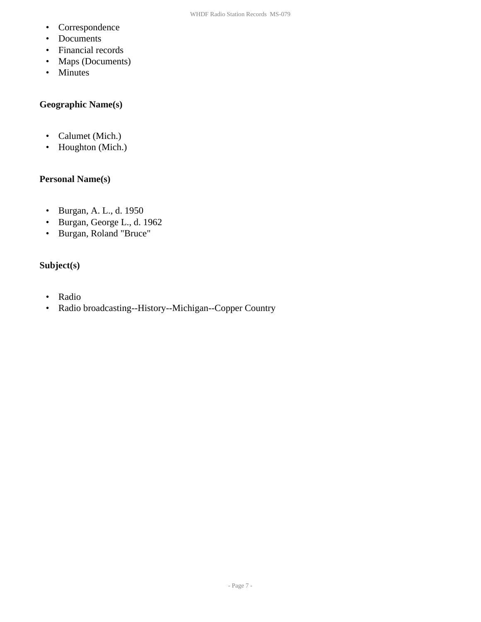- Correspondence
- Documents
- Financial records
- Maps (Documents)
- Minutes

### **Geographic Name(s)**

- Calumet (Mich.)
- Houghton (Mich.)

### **Personal Name(s)**

- Burgan, A. L., d. 1950
- Burgan, George L., d. 1962
- Burgan, Roland "Bruce"

### **Subject(s)**

- Radio
- Radio broadcasting--History--Michigan--Copper Country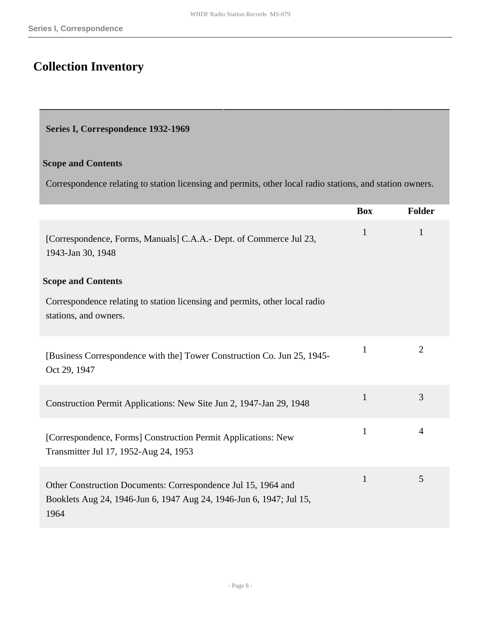## <span id="page-7-0"></span>**Collection Inventory**

#### <span id="page-7-1"></span>**Series I, Correspondence 1932-1969**

#### **Scope and Contents**

Correspondence relating to station licensing and permits, other local radio stations, and station owners.

|                                                                                                                                              | <b>Box</b>   | Folder         |
|----------------------------------------------------------------------------------------------------------------------------------------------|--------------|----------------|
| [Correspondence, Forms, Manuals] C.A.A.- Dept. of Commerce Jul 23,<br>1943-Jan 30, 1948                                                      | $\mathbf{1}$ | 1              |
| <b>Scope and Contents</b>                                                                                                                    |              |                |
| Correspondence relating to station licensing and permits, other local radio<br>stations, and owners.                                         |              |                |
| [Business Correspondence with the] Tower Construction Co. Jun 25, 1945-<br>Oct 29, 1947                                                      | $\mathbf{1}$ | $\overline{2}$ |
| Construction Permit Applications: New Site Jun 2, 1947-Jan 29, 1948                                                                          | $\mathbf{1}$ | 3              |
| [Correspondence, Forms] Construction Permit Applications: New<br>Transmitter Jul 17, 1952-Aug 24, 1953                                       | $\mathbf{1}$ | 4              |
| Other Construction Documents: Correspondence Jul 15, 1964 and<br>Booklets Aug 24, 1946-Jun 6, 1947 Aug 24, 1946-Jun 6, 1947; Jul 15,<br>1964 | $\mathbf{1}$ | 5              |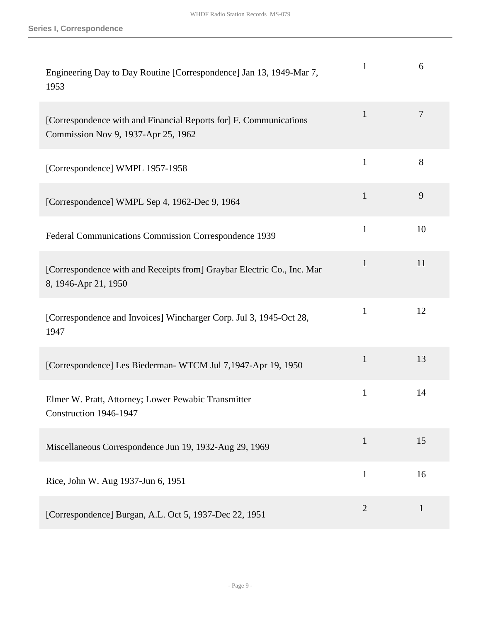| Engineering Day to Day Routine [Correspondence] Jan 13, 1949-Mar 7,<br>1953                              | 1              | 6              |
|----------------------------------------------------------------------------------------------------------|----------------|----------------|
| [Correspondence with and Financial Reports for] F. Communications<br>Commission Nov 9, 1937-Apr 25, 1962 | $\mathbf{1}$   | $\overline{7}$ |
| [Correspondence] WMPL 1957-1958                                                                          | $\mathbf{1}$   | 8              |
| [Correspondence] WMPL Sep 4, 1962-Dec 9, 1964                                                            | $\mathbf{1}$   | 9              |
| Federal Communications Commission Correspondence 1939                                                    | $\mathbf{1}$   | 10             |
| [Correspondence with and Receipts from] Graybar Electric Co., Inc. Mar<br>8, 1946-Apr 21, 1950           | $\mathbf{1}$   | 11             |
| [Correspondence and Invoices] Wincharger Corp. Jul 3, 1945-Oct 28,<br>1947                               | $\mathbf{1}$   | 12             |
| [Correspondence] Les Biederman-WTCM Jul 7,1947-Apr 19, 1950                                              | $\mathbf{1}$   | 13             |
| Elmer W. Pratt, Attorney; Lower Pewabic Transmitter<br>Construction 1946-1947                            | 1              | 14             |
| Miscellaneous Correspondence Jun 19, 1932-Aug 29, 1969                                                   | $\mathbf{1}$   | 15             |
| Rice, John W. Aug 1937-Jun 6, 1951                                                                       | $\mathbf{1}$   | 16             |
| [Correspondence] Burgan, A.L. Oct 5, 1937-Dec 22, 1951                                                   | $\overline{2}$ | $\mathbf{1}$   |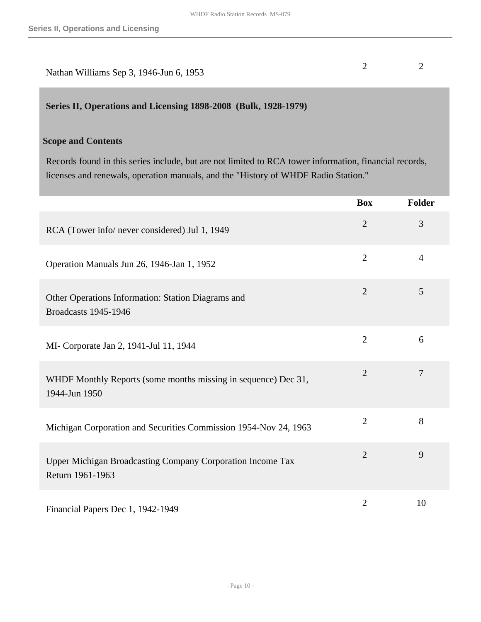| Nathan Williams Sep 3, 1946-Jun 6, 1953 |  |
|-----------------------------------------|--|

### <span id="page-9-0"></span>**Series II, Operations and Licensing 1898-2008 (Bulk, 1928-1979)**

#### **Scope and Contents**

Records found in this series include, but are not limited to RCA tower information, financial records, licenses and renewals, operation manuals, and the "History of WHDF Radio Station."

|                                                                                   | <b>Box</b>     | <b>Folder</b>  |
|-----------------------------------------------------------------------------------|----------------|----------------|
| RCA (Tower info/ never considered) Jul 1, 1949                                    | $\overline{2}$ | 3              |
| Operation Manuals Jun 26, 1946-Jan 1, 1952                                        | $\overline{2}$ | $\overline{4}$ |
| Other Operations Information: Station Diagrams and<br><b>Broadcasts 1945-1946</b> | $\overline{2}$ | 5              |
| MI- Corporate Jan 2, 1941-Jul 11, 1944                                            | $\overline{2}$ | 6              |
| WHDF Monthly Reports (some months missing in sequence) Dec 31,<br>1944-Jun 1950   | $\overline{2}$ | $\overline{7}$ |
| Michigan Corporation and Securities Commission 1954-Nov 24, 1963                  | $\overline{2}$ | 8              |
| Upper Michigan Broadcasting Company Corporation Income Tax<br>Return 1961-1963    | $\overline{2}$ | 9              |
| Financial Papers Dec 1, 1942-1949                                                 | $\overline{2}$ | 10             |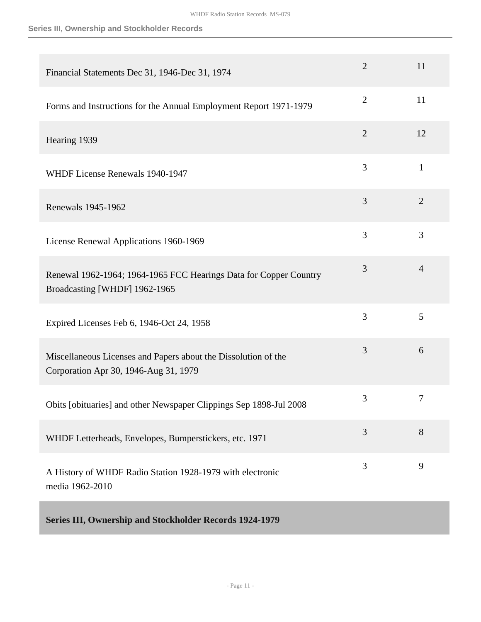#### **Series III, Ownership and Stockholder Records**

<span id="page-10-0"></span>

| Financial Statements Dec 31, 1946-Dec 31, 1974                                                          | $\overline{2}$ | 11             |
|---------------------------------------------------------------------------------------------------------|----------------|----------------|
| Forms and Instructions for the Annual Employment Report 1971-1979                                       | $\overline{2}$ | 11             |
| Hearing 1939                                                                                            | $\overline{2}$ | 12             |
| WHDF License Renewals 1940-1947                                                                         | 3              | $\mathbf{1}$   |
| Renewals 1945-1962                                                                                      | 3              | $\overline{2}$ |
| License Renewal Applications 1960-1969                                                                  | 3              | 3              |
| Renewal 1962-1964; 1964-1965 FCC Hearings Data for Copper Country<br>Broadcasting [WHDF] 1962-1965      | 3              | $\overline{4}$ |
| Expired Licenses Feb 6, 1946-Oct 24, 1958                                                               | 3              | 5              |
| Miscellaneous Licenses and Papers about the Dissolution of the<br>Corporation Apr 30, 1946-Aug 31, 1979 | 3              | 6              |
| Obits [obituaries] and other Newspaper Clippings Sep 1898-Jul 2008                                      | 3              | $\tau$         |
| WHDF Letterheads, Envelopes, Bumperstickers, etc. 1971                                                  | 3              | 8              |
| A History of WHDF Radio Station 1928-1979 with electronic<br>media 1962-2010                            | 3              | 9              |
| Series III, Ownership and Stockholder Records 1924-1979                                                 |                |                |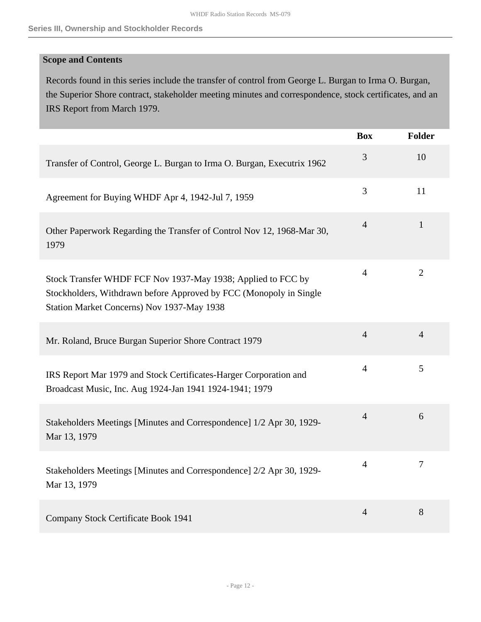### **Scope and Contents**

Records found in this series include the transfer of control from George L. Burgan to Irma O. Burgan, the Superior Shore contract, stakeholder meeting minutes and correspondence, stock certificates, and an IRS Report from March 1979.

|                                                                                                                                                                                  | <b>Box</b>     | <b>Folder</b>  |
|----------------------------------------------------------------------------------------------------------------------------------------------------------------------------------|----------------|----------------|
| Transfer of Control, George L. Burgan to Irma O. Burgan, Executrix 1962                                                                                                          | 3              | 10             |
| Agreement for Buying WHDF Apr 4, 1942-Jul 7, 1959                                                                                                                                | 3              | 11             |
| Other Paperwork Regarding the Transfer of Control Nov 12, 1968-Mar 30,<br>1979                                                                                                   | $\overline{4}$ | $\mathbf{1}$   |
| Stock Transfer WHDF FCF Nov 1937-May 1938; Applied to FCC by<br>Stockholders, Withdrawn before Approved by FCC (Monopoly in Single<br>Station Market Concerns) Nov 1937-May 1938 | $\overline{4}$ | $\overline{2}$ |
| Mr. Roland, Bruce Burgan Superior Shore Contract 1979                                                                                                                            | $\overline{4}$ | $\overline{4}$ |
| IRS Report Mar 1979 and Stock Certificates-Harger Corporation and<br>Broadcast Music, Inc. Aug 1924-Jan 1941 1924-1941; 1979                                                     | $\overline{4}$ | 5              |
| Stakeholders Meetings [Minutes and Correspondence] 1/2 Apr 30, 1929-<br>Mar 13, 1979                                                                                             | $\overline{4}$ | 6              |
| Stakeholders Meetings [Minutes and Correspondence] 2/2 Apr 30, 1929-<br>Mar 13, 1979                                                                                             | $\overline{4}$ | $\overline{7}$ |
| Company Stock Certificate Book 1941                                                                                                                                              | $\overline{4}$ | 8              |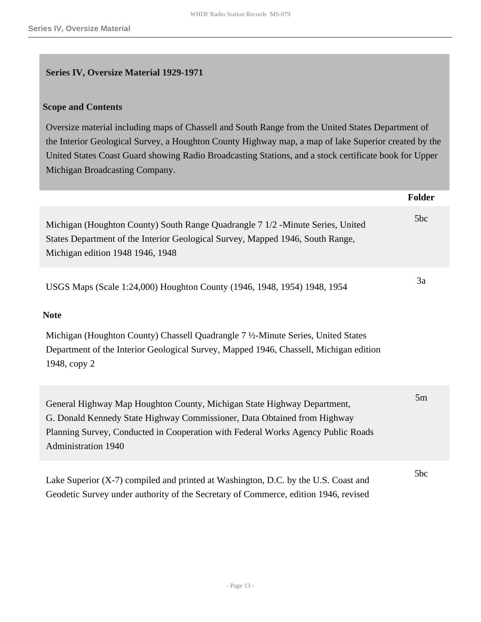### <span id="page-12-0"></span>**Series IV, Oversize Material 1929-1971**

#### **Scope and Contents**

Oversize material including maps of Chassell and South Range from the United States Department of the Interior Geological Survey, a Houghton County Highway map, a map of lake Superior created by the United States Coast Guard showing Radio Broadcasting Stations, and a stock certificate book for Upper Michigan Broadcasting Company.

|                                                                                                                                                                                                                                                                                       | Folder |
|---------------------------------------------------------------------------------------------------------------------------------------------------------------------------------------------------------------------------------------------------------------------------------------|--------|
| Michigan (Houghton County) South Range Quadrangle 7 1/2 -Minute Series, United<br>States Department of the Interior Geological Survey, Mapped 1946, South Range,<br>Michigan edition 1948 1946, 1948                                                                                  | 5bc    |
| USGS Maps (Scale 1:24,000) Houghton County (1946, 1948, 1954) 1948, 1954<br><b>Note</b><br>Michigan (Houghton County) Chassell Quadrangle 7 1/2-Minute Series, United States<br>Department of the Interior Geological Survey, Mapped 1946, Chassell, Michigan edition<br>1948, copy 2 | 3a     |
| General Highway Map Houghton County, Michigan State Highway Department,<br>G. Donald Kennedy State Highway Commissioner, Data Obtained from Highway<br>Planning Survey, Conducted in Cooperation with Federal Works Agency Public Roads<br><b>Administration 1940</b>                 | 5m     |
| Lake Superior (X-7) compiled and printed at Washington, D.C. by the U.S. Coast and<br>Geodetic Survey under authority of the Secretary of Commerce, edition 1946, revised                                                                                                             | 5bc    |